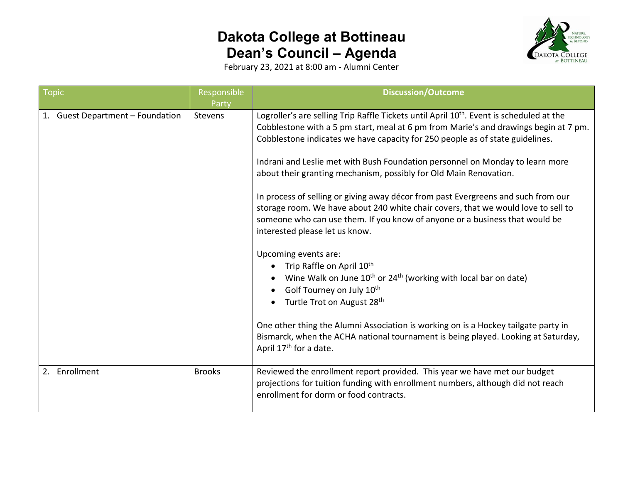## **Dakota College at Bottineau Dean's Council – Agenda**



February 23, 2021 at 8:00 am - Alumni Center

| <b>Topic</b>                                      | Responsible<br>Party     | <b>Discussion/Outcome</b>                                                                                                                                                                                                                                                                                                                                                                                                                                                                                                                                                                                                                                                                                                                                                                                                                                                                                                                                                                                                                                                                                                                                              |
|---------------------------------------------------|--------------------------|------------------------------------------------------------------------------------------------------------------------------------------------------------------------------------------------------------------------------------------------------------------------------------------------------------------------------------------------------------------------------------------------------------------------------------------------------------------------------------------------------------------------------------------------------------------------------------------------------------------------------------------------------------------------------------------------------------------------------------------------------------------------------------------------------------------------------------------------------------------------------------------------------------------------------------------------------------------------------------------------------------------------------------------------------------------------------------------------------------------------------------------------------------------------|
| 1. Guest Department - Foundation<br>2. Enrollment | Stevens<br><b>Brooks</b> | Logroller's are selling Trip Raffle Tickets until April 10 <sup>th</sup> . Event is scheduled at the<br>Cobblestone with a 5 pm start, meal at 6 pm from Marie's and drawings begin at 7 pm.<br>Cobblestone indicates we have capacity for 250 people as of state guidelines.<br>Indrani and Leslie met with Bush Foundation personnel on Monday to learn more<br>about their granting mechanism, possibly for Old Main Renovation.<br>In process of selling or giving away décor from past Evergreens and such from our<br>storage room. We have about 240 white chair covers, that we would love to sell to<br>someone who can use them. If you know of anyone or a business that would be<br>interested please let us know.<br>Upcoming events are:<br>Trip Raffle on April 10 <sup>th</sup><br>Wine Walk on June 10 <sup>th</sup> or 24 <sup>th</sup> (working with local bar on date)<br>Golf Tourney on July 10th<br>Turtle Trot on August 28 <sup>th</sup><br>One other thing the Alumni Association is working on is a Hockey tailgate party in<br>Bismarck, when the ACHA national tournament is being played. Looking at Saturday,<br>April 17th for a date. |
|                                                   |                          | Reviewed the enrollment report provided. This year we have met our budget<br>projections for tuition funding with enrollment numbers, although did not reach<br>enrollment for dorm or food contracts.                                                                                                                                                                                                                                                                                                                                                                                                                                                                                                                                                                                                                                                                                                                                                                                                                                                                                                                                                                 |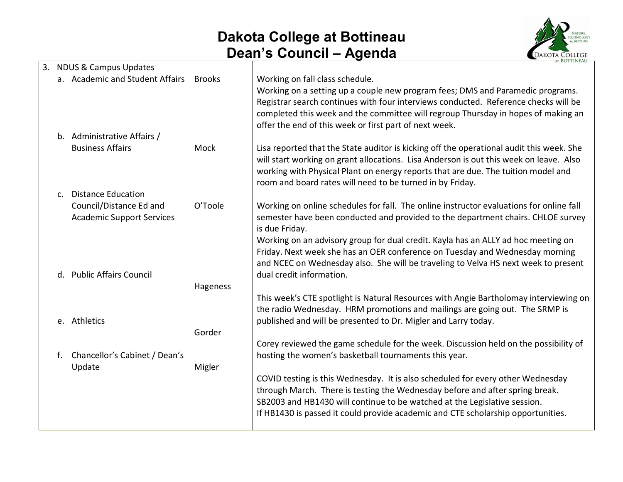## **Dakota College at Bottineau Dean's Council – Agenda**



|    | 3. NDUS & Campus Updates                                    |               |                                                                                                                                                                                                                                                                                                                                                                    |
|----|-------------------------------------------------------------|---------------|--------------------------------------------------------------------------------------------------------------------------------------------------------------------------------------------------------------------------------------------------------------------------------------------------------------------------------------------------------------------|
|    | a. Academic and Student Affairs                             | <b>Brooks</b> | Working on fall class schedule.<br>Working on a setting up a couple new program fees; DMS and Paramedic programs.<br>Registrar search continues with four interviews conducted. Reference checks will be<br>completed this week and the committee will regroup Thursday in hopes of making an<br>offer the end of this week or first part of next week.            |
|    | b. Administrative Affairs /                                 |               |                                                                                                                                                                                                                                                                                                                                                                    |
|    | <b>Business Affairs</b>                                     | Mock          | Lisa reported that the State auditor is kicking off the operational audit this week. She<br>will start working on grant allocations. Lisa Anderson is out this week on leave. Also<br>working with Physical Plant on energy reports that are due. The tuition model and<br>room and board rates will need to be turned in by Friday.                               |
|    | c. Distance Education                                       |               |                                                                                                                                                                                                                                                                                                                                                                    |
|    | Council/Distance Ed and<br><b>Academic Support Services</b> | O'Toole       | Working on online schedules for fall. The online instructor evaluations for online fall<br>semester have been conducted and provided to the department chairs. CHLOE survey<br>is due Friday.<br>Working on an advisory group for dual credit. Kayla has an ALLY ad hoc meeting on<br>Friday. Next week she has an OER conference on Tuesday and Wednesday morning |
|    | d. Public Affairs Council                                   |               | and NCEC on Wednesday also. She will be traveling to Velva HS next week to present<br>dual credit information.                                                                                                                                                                                                                                                     |
|    |                                                             | Hageness      |                                                                                                                                                                                                                                                                                                                                                                    |
|    | e. Athletics                                                |               | This week's CTE spotlight is Natural Resources with Angie Bartholomay interviewing on<br>the radio Wednesday. HRM promotions and mailings are going out. The SRMP is<br>published and will be presented to Dr. Migler and Larry today.                                                                                                                             |
|    |                                                             | Gorder        |                                                                                                                                                                                                                                                                                                                                                                    |
| f. | Chancellor's Cabinet / Dean's<br>Update                     | Migler        | Corey reviewed the game schedule for the week. Discussion held on the possibility of<br>hosting the women's basketball tournaments this year.                                                                                                                                                                                                                      |
|    |                                                             |               | COVID testing is this Wednesday. It is also scheduled for every other Wednesday<br>through March. There is testing the Wednesday before and after spring break.<br>SB2003 and HB1430 will continue to be watched at the Legislative session.<br>If HB1430 is passed it could provide academic and CTE scholarship opportunities.                                   |